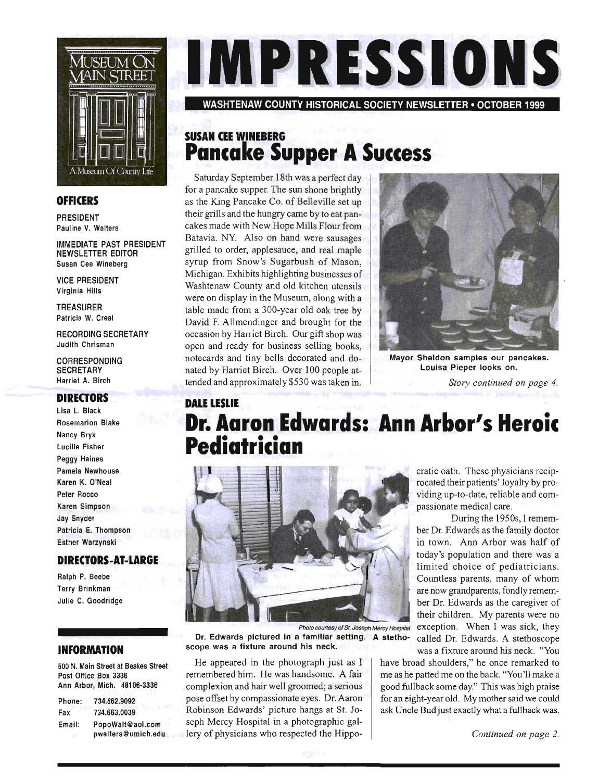

#### **OFFICERS**

PRESIDENT Pauline V. Walters

IMMEDIATE PAST PRESIDENT NEWSLETIER EDITOR Susan Cee Wineberg

VICE PRESIDENT Virginia Hills

TREASURER Patricia W. Creal

RECORDING SECRETARY Judith Chrisman

CORRESPONDING **SECRETARY** Harriet A. Birch

#### **DIRECTORS**

Lisa L. Black Rosemarion Blake Nancy Bryk Lucille Fisher Peggy Haines Pamela Newhouse Karen K. O'Neal Peter Rocco Karen Simpson Jay Snyder Patricia E. Thompson Esther Warzynski

#### **DIRECTORS-AT-LARGE**

Ralph P. Beebe Terry Brinkman Julie C. Goodridge

#### **INFORMATION**

500 N. Main Street at Beakes Street Post Office Box 3336 Ann Arbor, Mich. 48106-3336

| Phone: | 734.662.9092       |
|--------|--------------------|
| Fax    | 734.663.0039       |
| Email: | PopoWalt@aol.com   |
|        | pwalters@umich.edu |

WASHTENAW COUNTY HISTORICAL SOCIETY NEWSLETTER· OCTOBER 1999

### **SUSAN CEE WINEBERG Pancake Supper A Success**

Saturday September 18th was a perfect day for a pancake supper. The sun shone brightly as the King Pancake Co. of Belleville set up their grills and the hungry came by to eat pancakes made with New Hope Mills Flour from Batavia. NY. Also on hand were sausages grilled to order, applesauce, and real maple syrup from Snow's Sugarbush of Mason, Michigan. Exhibits highlighting businesses of Washtenaw County and old kitchen utensils were on display in the Museum, along with a table made from a 300-year old oak tree by David F. Allmendinger and brought for the occasion by Harriet Birch. Our gift shop was open and ready for business selling books, notecards and tiny bells decorated and do nated by Harriet Birch. Over 100 people attended and approximately \$530 was taken in.



Mayor Sheldon samples our pancakes. Louisa Pieper looks on. *Story continued on page 4.* 

## **DALE LESLIE Dr. Aaron Edwards: Ann Arbor's Heroic Pediatrician**



Dr. Edwards pictured in a familiar setting. A stetho- called Dr. Edwards. A stethoscope Photo courtesy of St. Joseph Mercy Hospital

He appeared in the photograph just as I remembered him. He was handsome. A fair complexion and hair well groomed; a serious pose offset by compassionate eyes. Dr. Aaron Robinson Edwards' picture hangs at St. Joseph Mercy Hospital in a photographic gallery of physicians who respected the Hippo- *Continued on page 2.* 

cratic oath. These physicians reciprocated their patients' loyalty by providing up-to-date, reliable and com passionate medical care.

During the 1950s, I remember Dr. Edwards as the family doctor in town. Ann Arbor was half of today's population and there was a limited choice of pediatricians. Countless parents, many of whom are now grandparents, fondly remember Dr. Edwards as the caregiver of their children. My parents were no exception. When I was sick, they scope was a fixture around his neck.<br>was a fixture around his neck. "You

> have broad shoulders," he once remarked to me as he patted me on the back. "You'll make a good fullback some day." This was high praise for an eight-year old. My mother said we could ask Uncle Bud just exactly what a fullback was.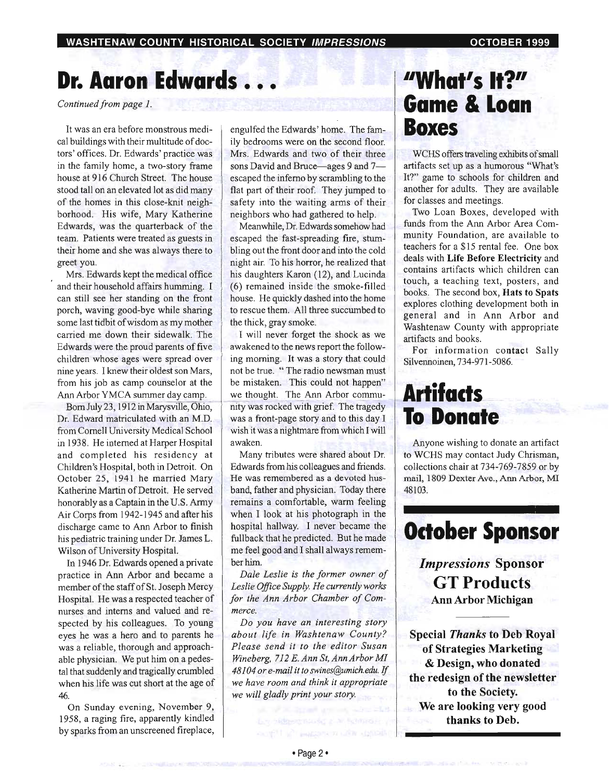# **Dr. Aaron Edwards ...**

*Continued from page 1.* 

cal buildings with their multitude of doc-  $\parallel$  ily bedrooms were on the second floor. tors' offices. Dr. Edwards' practice was Mrs. Edwards and two of their three in the family home, a two-story frame  $\parallel$  sons David and Bruce—ages 9 and 7house at 916 Church Street. The house scaped the inferno by scrambling to the stood tall on an elevated lot as did many flat part of their roof. They jumped to of the homes in this close-knit neigh- safety into the waiting arms of their borhood. His wife, Mary Katherine neighbors who had gathered to help. Edwards, was the quarterback of the Meanwhile, Dr. Edwards somehow had team. Patients were treated as guests in escaped the fast-spreading fire, stumtheir home and she was always there to bling out the front door and into the cold greet you. **night air.** To his horror, he realized that

and their household affairs humming.  $I \parallel (6)$  remained inside the smoke-filled can still see her standing on the front house. He quickly dashed into the home porch, waving good-bye while sharing to rescue them. All three succumbed to some last tidbit of wisdom as my mother  $\parallel$  the thick, gray smoke. carried me down their sidewalk. The I will never forget the shock as we Edwards were the proud parents of five awakened to the news report the followchildren whose ages were spread over  $\parallel$  ing morning. It was a story that could nine years. I knew their oldest son Mars, not be true. "The radio newsman must from his job as camp counselor at the  $\parallel$  be mistaken. This could not happen" Ann Arbor YMCA summer day camp. we thought. The Ann Arbor commu-

Dr. Edward matriculated with an M.D. was a front-page story and to this day I from Cornell University Medical School wish it was a nightmare from which I will in 1938. He interned at Harper Hospital  $\parallel$  awaken. and completed his residency at  $\parallel$  Many tributes were shared about Dr. Children's Hospital, both in Detroit. On  $\parallel$  Edwards from his colleagues and friends. October 25, 1941 he married Mary | He was remembered as a devoted hus-Katherine Martin of Detroit. He served | band, father and physician. Today there honorably as a Captain in the U.S. Army remains a comfortable, warm feeling Air Corps from 1942-1945 and after his when I look at his photograph in the discharge came to Ann Arbor to finish  $\parallel$  hospital hallway. I never became the his pediatric training under Dr. James L. | fullback that he predicted. But he made

In 1946 Dr. Edwards opened a private ber him. practice in Ann Arbor and became a *Dale Leslie* is *the former owner of*  member of the staff ofSt. Joseph Mercy *Leslie Office Supply. He currently works*  Hospital. He was a respected teacher of *for the Ann Arbor Chamber of Com*nurses and interns and valued and re- *merce.*  spected by his colleagues. To young *Do you have an interesting story*  eyes he was a hero and to parents he *about life in Washtenaw County?* was a reliable, thorough and approach- *Please send it to the editor Susan*  able physician. We put him on a pedes- *Wineberg,* 712 *E. Ann St, Ann Arbor MI*  tal that suddenly and tragically crumbled *48104 or e-mail it to swines@umich.edu.* If when his life was cut short at the age of ve have room and think it appropriate *46. we will gladly print your story.* 

On Sunday evening, November 9, 1958, a raging fire, apparently kindled by sparks from an unscreened fireplace,

It was an era before monstrous medi- engulfed the Edwards' home. The fam-

Mrs. Edwards kept the medical office his daughters Karon (12), and Lucinda

Bom July 23, 1912 in Marysville, Ohio, nity was rocked with grief. The tragedy

Wilson of University Hospital. me feel good and I shall always remem-

# **"What's It?" Game & Loan Boxes**

WCHS offers traveling exhibits of small artifacts set up as a humorous "What's It?" game to schools for children and another for adults. They are available for classes and meetings.

Two Loan Boxes, developed with funds from the Ann Arbor Area Community Foundation, are available to teachers for a \$15 rental fee. One box deals with Life Before Electricity and contains artifacts which children can touch, a teaching text, posters, and books. The second box, Hats to Spats explores clothing development both in general and in Ann Arbor and Washtenaw County with appropriate artifacts and books.

For information contact Sally Silvennoinen, 734-971 -5086.

# **Artifacts To Donate**

Anyone wishing to donate an artifact to WCHS may contact Judy Chrisman, collections chair at 734-769-7859 or by mail, 1809 Dexter Ave., Ann Arbor, MI 48103.

# **October Sponsor**

*Impressions* Sponsor **GTProducts**  Ann Arbor Michigan

Special *Thanks* to Deb Royal of Strategies Marketing & Design, who donated the redesign of the newsletter to the Society. We are looking very good thanks to Deb.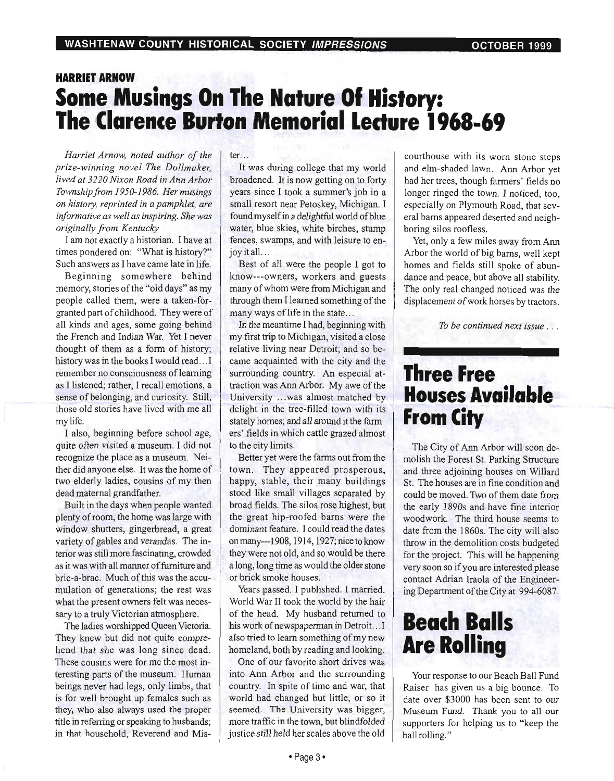## **HARRIET ARNOW Some Musings On The Nature Of History: The Clarence Burton Memorial Lecture 1968-69**

*Harriet Arnow, noted author of the prize-winning novel The Dollmaker, lived at 3220 Nixon Road in Ann Arbor Township from 1950-1986. Her musings on history, reprinted in a pamphlet, are informative as well as inspiring. She was originally from Kentucky* 

I am not exactly a historian. I have at times pondered on: "What is history?" Such answers as I have came late in life.

Beginning somewhere behind memory, stories of the "old days" as my people called them, were a taken-forgranted part of childhood. They were of all kinds and ages, some going behind the French and Indian War. Yet I never thought of them as a form of history; history was in the books I would read...I remember no consciousness of learning as I listened; rather, I recall emotions, a sense of belonging, and curiosity: Still, those old stories have lived with me all my life.

I also, beginning before school age, quite often visited a museum. I did not recognize the place as a museum. Neither did anyone else. It was the home of two elderly ladies, cousins of my then dead maternal grandfather.

Built in the days when people wanted plenty of room, the home was large with window shutters, gingerbread, a great variety of gables and verandas. The interior was still more fascinating, crowded as it was with all manner of furniture and bric-a-brac. Much of this was the accumulation of generations; the rest was what the present owners felt was necessary to a truly Victorian atmosphere.

The ladies worshipped Queen Victoria. They knew but did not quite comprehend that she was long since dead. These cousins were for me the most interesting parts of the museum. Human beings never had legs, only limbs, that is for well brought up females such as they, who also always used the proper title in referring or speaking to husbands; in that household, Reverend and Mister. ..

It was during college that my world broadened. It is now getting on to forty years since I took a summer's job in a small resort near Petoskey, Michigan. I found myself in a delightful world of blue water, blue skies, white birches, stump fences, swamps, and with leisure to enjoy it all...

Best of all were the people I got to know---owners, workers and guests many of whom were from Michigan and through them I learned something of the many ways of life in the state...

In the meantime I had, beginning with my first trip to Michigan, visited a close relative living near Detroit; and so became acquainted with the city and the surrounding country. An especial attraction was Ann Arbor. My awe of the University ... was almost matched by delight in the tree-filled town with its stately homes; and all around it the farmers' fields in which cattle grazed almost to the city limits.

Better yet were the farms out from the town. They appeared prosperous, happy, stable, their many buildings stood like small villages separated by broad fields. The silos rose highest, but the great hip-roofed barns were the dominant feature. I could read the dates onmany---1908, 1914, 1927; nice to know they were not old, and so would be there a long, long time as would the older stone or brick smoke houses. .

Years passed. I published. I married. World War II took the world by the hair of the head. My husband returned to his work of newspaperman in Detroit... I also tried to learn something of my new homeland, both by reading and looking.

One of our favorite short drives was into Ann Arbor and the surrounding country. In spite of time and war, that world had changed but little, or so it seemed. The University was bigger, more traffic in the town, but blindfolded justice still held her scales above the old courthouse with its worn stone steps and elm-shaded lawn. Ann Arbor yet had her trees, though farmers' fields no longer ringed the town. I noticed, too, especially on Plymouth Road, that several barns appeared deserted and neighboring silos roofless.

Yet, only a few miles away from Ann Arbor the world of big barns, well kept homes and fields still spoke of abundance and peace, but above all stability. The only real changed noticed was the displacement of work horses by tractors.

*To be continued next issue .* ..

## **Three Free Houses Available From City**

The City of Ann Arbor will soon demolish the Forest St. Parking Structure and three adjoining houses on Willard St. The houses are in fine condition and could be moved. Two of them date from the early 1890s and have fine interior woodwork. The third house seems to date from the 1860s. The city will also throw in the demolition costs budgeted for the project. This will be happening very soon so if you are interested please contact Adrian Iraola of the Engineering Department of the City at 994-6087.

# **Beach Balls Are Rolling**

Your response to our Beach Ball Fund Raiser has given us a big bounce. To date over \$3000 has been sent to our Museum Fund. Thank you to all our supporters for helping us to "keep the ball rolling."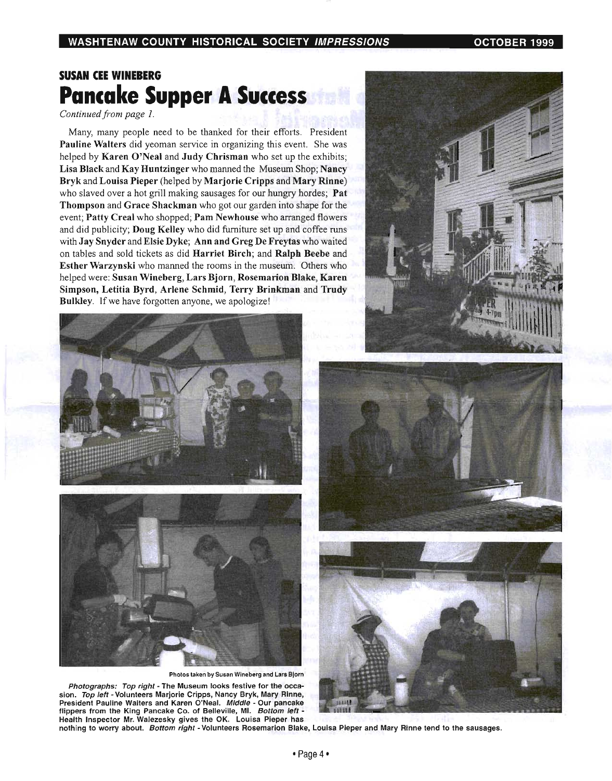## **SUSAN CEE WINEBERG Pancake Supper A Success**

*Continued from page 1.* 

Many, many people need to be thanked for their efforts. President Pauline Walters did yeoman service in organizing this event. She was helped by Karen O'Neal and Judy Chrisman who set up the exhibits; Lisa Black and Kay Huntzinger who manned the Museum Shop; Nancy Bryk and Louisa Pieper (helped by Marjorie Cripps and Mary Rinne) who slaved over a hot grill making sausages for our hungry hordes; **Pat** Thompson and Grace Shackman who got our garden into shape for the event; Patty Creal who shopped; Pam Newhouse who arranged flowers and did publicity; Doug Kelley who did furniture set up and coffee runs with Jay Snyder and Elsie Dyke; Ann and Greg De Freytas who waited on tables and sold tickets as did Harriet Birch; and Ralph Beebe and Esther Warzynski who manned the rooms in the museum. Others who helped were: Susan Wineberg, Lars Bjorn, Rosemarion Blake, Karen Simpson, Letitia Byrd, Arlene Schmid, Terry Brinkman and Trudy Bulkley. If we have forgotten anyone, we apologize!







Photos taken by Susan Wineberg and Lars Bjorn

Photographs: Top right - The Museum looks festive for the occasion. Top left - Volunteers Marjorie Cripps, Nancy Bryk, Mary Rinne, President Pauline Walters and Karen O'Neal. Middle - Our pancake flippers from the King Pancake Co. of Belleville, MI. Bottom left -Health Inspector Mr. Walezesky gives the OK. Louisa Pieper has





nothing to worry about. Bottom right - Volunteers Rosemarion Blake, Louisa Pieper and Mary Rinne tend to the sausages.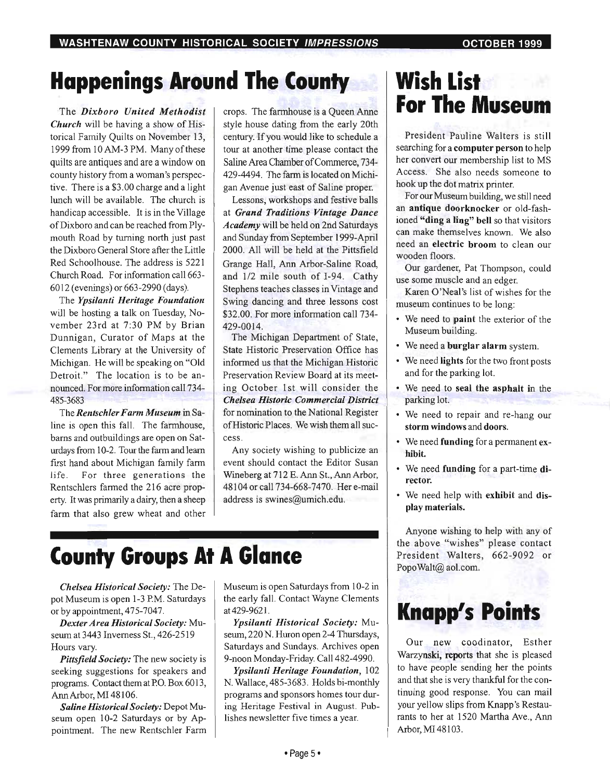# **Happenings Around The (ounty**

The *Dixboro United Methodist Church* will be having a show of Historical Family Quilts on November 13, 1999 from 10 AM-3 PM. Many of these quilts are antiques and are a window on county history from a woman's perspective. There is a \$3.00 charge and a light lunch will be available. The church is handicap accessible. It is in the Village ofDixboro and can be reached from Plymouth Road by turning north just past the Dixboro General Store after the Little Red Schoolhouse. The address is 5221 Church Road. For information call 663- 6012 (evenings) or 663-2990 (days).

The *Ypsilanti Heritage Foundation*  will be hosting a talk on Tuesday, November 23rd at 7:30 PM by Brian Dunnigan, Curator of Maps at the Clements Library at the University of Michigan. He will be speaking on "Old Detroit." The location is to be announced. For more information call 734- 485-3683

The *Rentschler Farm Museum* in Saline is open this fall. The farmhouse, barns and outbuildings are open on Saturdays from 10-2. Tour the farm and learn first hand about Michigan family farm life. For three generations the Rentschlers farmed the 216 acre property. It was primarily a dairy, then a sheep farm that also grew wheat and other crops. The farmhouse is a Queen Anne style house dating from the early 20th century. If you would like to schedule a tour at another time please contact the Saline Area Chamber of Commerce, 734- 429-4494. The farm is located on Michigan Avenue just east of Saline proper.

Lessons, workshops and festive balls at *Grand Traditions Vintage Dance Academy* will be held on 2nd Saturdays and Sunday from September 1999-April 2000. All will be held at the Pittsfield Grange Hall, Ann Arbor-Saline Road, and 1/2 mile south of 1-94. Cathy Stephens teaches classes in Vintage and Swing dancing and three lessons cost \$32.00. For more information call 734- 429-0014.

The Michigan Department of State, State Historic Preservation Office has informed us that the Michigan Historic Preservation Review Board at its meeting October 1st will consider the *Chelsea Historic Commercial District*  for nomination to the National Register of Historic Places. We wish them all success.

Any society wishing to publicize an event should contact the Editor Susan Wineberg at 712 E. Ann St., Ann Arbor, 48104 or call 734-668-7470. Here-mail address is swines@umich.edu.

# **(ounty Groups At A Glance**

*Chelsea Historical Society:* The Depot Museum is open 1-3 PM. Saturdays or by appointment, 475-7047.

*Dexter Area Historical Society:* Museum at 3443 Inverness St., 426-2519 Hours vary.

*Pittsfield Society:* The new society is seeking suggestions for speakers and programs. Contact them at PO. Box 6013, Ann Arbor, MI 48106.

*Saline Historical Society:* Depot Museum open 10-2 Saturdays or by Appointment. The new Rentschler Farm Museum is open Saturdays from 10-2 in the early fall. Contact Wayne Clements at 429-9621.

*Ypsilanti Historical Society:* Museum, 220 N. Huron open 2-4 Thursdays, Saturdays and Sundays. Archives open 9-noon Monday-Friday. Call 482-4990.

*Ypsilanti Heritage Foundation,* 102 N. Wallace, 485-3683. Holds bi-monthly programs and sponsors homes tour during Heritage Festival in August. Publishes newsletter five times a year.

# **Wish List For The Museum**

President Pauline Walters is still searching for a **computer person** to help her convert our membership list to MS Access. She also needs someone to hook up the dot matrix printer.

For our Museum building, we still need an antique doorknocker or old-fashioned "ding a ling" bell so that visitors can make themselves known. We also need an electric broom to clean our wooden floors.

Our gardener, Pat Thompson, could use some muscle and an edger.

Karen O'Neal's list of wishes for the museum continues to be long:

- We need to paint the exterior of the Museum building.
- We need a burglar alarm system.
- We need lights for the two front posts and for the parking lot.
- We need to seal the asphalt in the parking lot.
- We need to repair and re-hang our storm windows and doors.
- We need funding for a permanent exhibit.
- We need funding for a part-time director.
- We need help with exhibit and display materials.

Anyone wishing to help with any of the above "wishes" please contact President Walters, 662-9092 or PopoWalt@ aol.com.

# **Knapp's Points**

Our new coodinator, Esther Warzynski, reports that she is pleased to have people sending her the points and that she is very thankful for the continuing good response. You can mail your yellow slips from Knapp's Restaurants to her at 1520 Martha Ave., Ann Arbor, MI 48103.